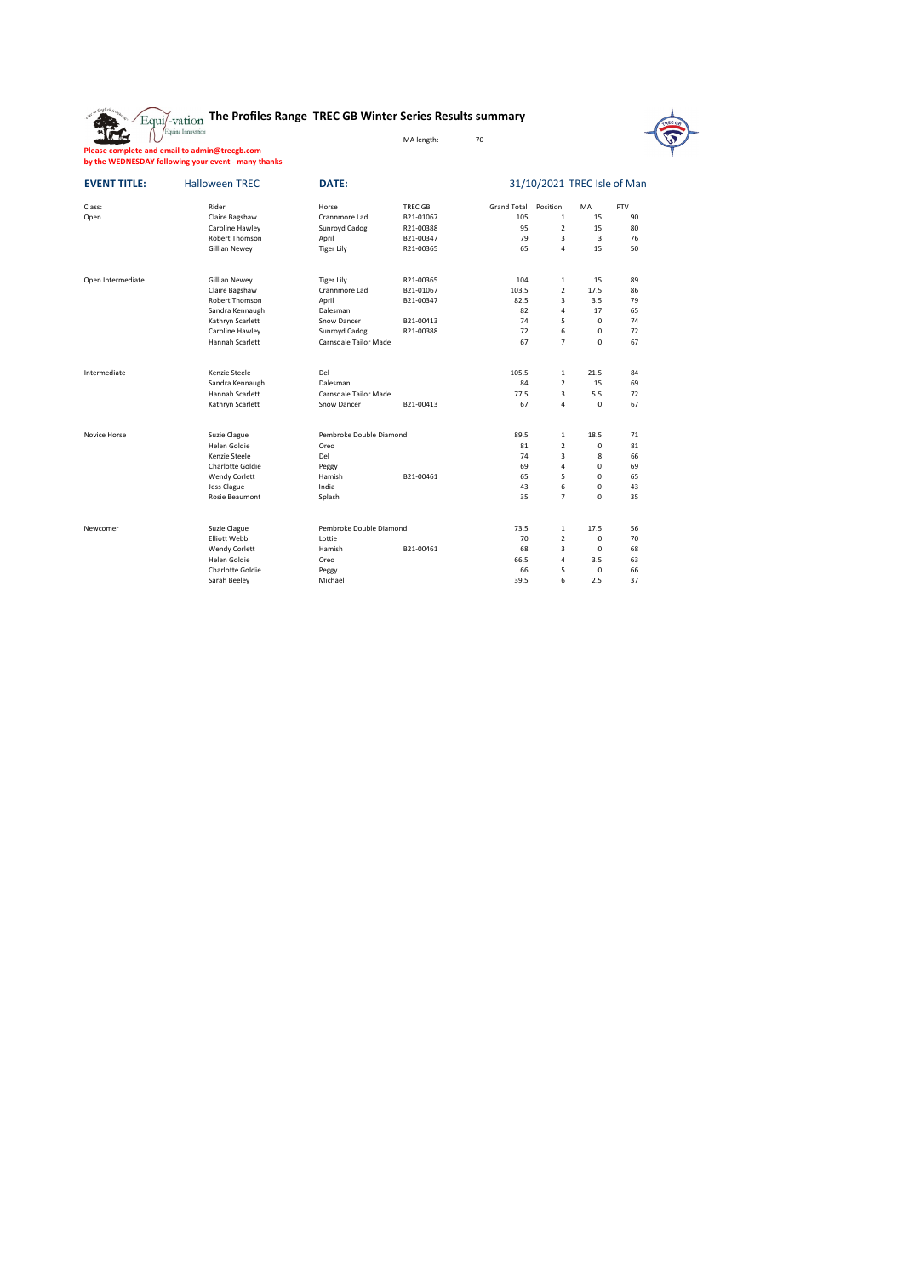## **The Profiles Range TREC GB Winter Series Results summary**

MA length: 70



**Please complete and email to admin@trecgb.com by the WEDNESDAY following your event - many thanks**

| <b>EVENT TITLE:</b> | <b>Halloween TREC</b> | DATE:                   |                |                    | 31/10/2021 TREC Isle of Man |             |     |
|---------------------|-----------------------|-------------------------|----------------|--------------------|-----------------------------|-------------|-----|
| Class:              | Rider                 | Horse                   | <b>TREC GB</b> | <b>Grand Total</b> | Position                    | MA          | PTV |
| Open                | Claire Bagshaw        | Crannmore Lad           | B21-01067      | 105                | $\mathbf{1}$                | 15          | 90  |
|                     | Caroline Hawley       | Sunroyd Cadog           | R21-00388      | 95                 | $\overline{\mathbf{c}}$     | 15          | 80  |
|                     | Robert Thomson        | April                   | B21-00347      | 79                 | 3                           | 3           | 76  |
|                     | Gillian Newey         | <b>Tiger Lily</b>       | R21-00365      | 65                 | $\overline{\mathbf{4}}$     | 15          | 50  |
| Open Intermediate   | Gillian Newey         | <b>Tiger Lily</b>       | R21-00365      | 104                | $\mathbf{1}$                | 15          | 89  |
|                     | Claire Bagshaw        | Crannmore Lad           | B21-01067      | 103.5              | $\overline{2}$              | 17.5        | 86  |
|                     | Robert Thomson        | April                   | B21-00347      | 82.5               | 3                           | 3.5         | 79  |
|                     | Sandra Kennaugh       | Dalesman                |                | 82                 | 4                           | 17          | 65  |
|                     | Kathryn Scarlett      | Snow Dancer             | B21-00413      | 74                 | 5                           | $\Omega$    | 74  |
|                     | Caroline Hawley       | Sunroyd Cadog           | R21-00388      | 72                 | 6                           | $\Omega$    | 72  |
|                     | Hannah Scarlett       | Carnsdale Tailor Made   |                | 67                 | $\overline{7}$              | 0           | 67  |
| Intermediate        | Kenzie Steele         | Del                     |                | 105.5              | $\mathbf{1}$                | 21.5        | 84  |
|                     | Sandra Kennaugh       | Dalesman                |                | 84                 | $\overline{\mathbf{c}}$     | 15          | 69  |
|                     | Hannah Scarlett       | Carnsdale Tailor Made   |                | 77.5               | 3                           | 5.5         | 72  |
|                     | Kathryn Scarlett      | Snow Dancer             | B21-00413      | 67                 | 4                           | 0           | 67  |
| Novice Horse        | Suzie Clague          | Pembroke Double Diamond |                | 89.5               | $\mathbf{1}$                | 18.5        | 71  |
|                     | Helen Goldie          | Oreo                    |                | 81                 | $\overline{2}$              | 0           | 81  |
|                     | Kenzie Steele         | Del                     |                | 74                 | 3                           | 8           | 66  |
|                     | Charlotte Goldie      | Peggy                   |                | 69                 | 4                           | $\Omega$    | 69  |
|                     | <b>Wendy Corlett</b>  | Hamish                  | B21-00461      | 65                 | 5                           | $\Omega$    | 65  |
|                     | Jess Clague           | India                   |                | 43                 | 6                           | 0           | 43  |
|                     | Rosie Beaumont        | Splash                  |                | 35                 | $\overline{7}$              | 0           | 35  |
|                     |                       |                         |                |                    |                             |             |     |
| Newcomer            | Suzie Clague          | Pembroke Double Diamond |                | 73.5               | $\mathbf 1$                 | 17.5        | 56  |
|                     | <b>Elliott Webb</b>   | Lottie                  |                | 70                 | $\overline{\mathbf{c}}$     | 0           | 70  |
|                     | <b>Wendy Corlett</b>  | Hamish                  | B21-00461      | 68                 | 3                           | 0           | 68  |
|                     | Helen Goldie          | Oreo                    |                | 66.5               | 4                           | 3.5         | 63  |
|                     | Charlotte Goldie      | Peggy                   |                | 66                 | 5                           | $\mathbf 0$ | 66  |
|                     | Sarah Beeley          | Michael                 |                | 39.5               | 6                           | 2.5         | 37  |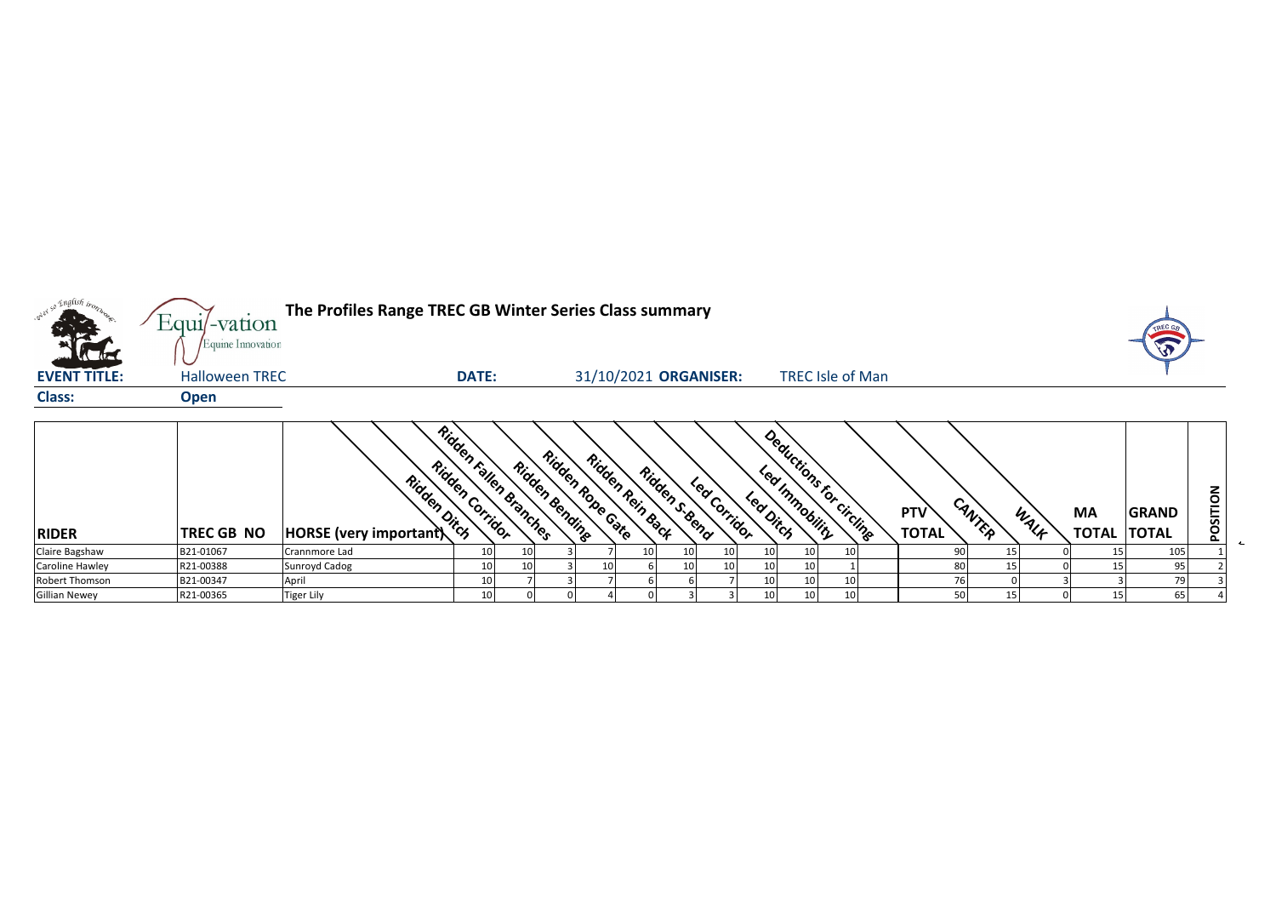

| <b>RIDER</b>         | <b>TREC GB NO</b> | Ridden<br>Ridden Ditch<br><b>HORSE</b> (very important) | Ridden<br>"Corrigor | n railen branches | Ridden Bending | Ridden Robe Gate<br>Ridden Rein Back |      | Ridden Seend | Lear Corridor | $\mathcal{S}'$<br>Lea Ditch | Deductions For<br>Immobility | circling | <b>PTV</b><br><b>TOTAL</b> | CANTER | WALF | MA<br><b>TOTAL</b> | <b>GRAND</b><br><b>TOTAL</b> | o<br>n<br>o<br>௨ |  |
|----------------------|-------------------|---------------------------------------------------------|---------------------|-------------------|----------------|--------------------------------------|------|--------------|---------------|-----------------------------|------------------------------|----------|----------------------------|--------|------|--------------------|------------------------------|------------------|--|
| Claire Bagshaw       | B21-01067         | Crannmore Lad                                           | 10 <sup>1</sup>     | 10                |                |                                      | 10 I | 10           | 10            | 10                          | 10                           | πn       |                            | LJ.    |      |                    | 105                          |                  |  |
| Caroline Hawley      | R21-00388         | Sunroyd Cadog                                           | 10                  |                   |                | 10                                   |      | 10           | 10            | 10                          |                              |          |                            |        |      |                    |                              |                  |  |
| Robert Thomson       | B21-00347         | April                                                   | 10                  |                   |                |                                      |      |              |               | 10                          | 10                           |          |                            |        |      |                    |                              |                  |  |
| <b>Gillian Newey</b> | R21-00365         | Tiger Lily                                              | 10                  |                   |                |                                      |      |              |               |                             |                              |          | c٨                         |        |      |                    | 65                           |                  |  |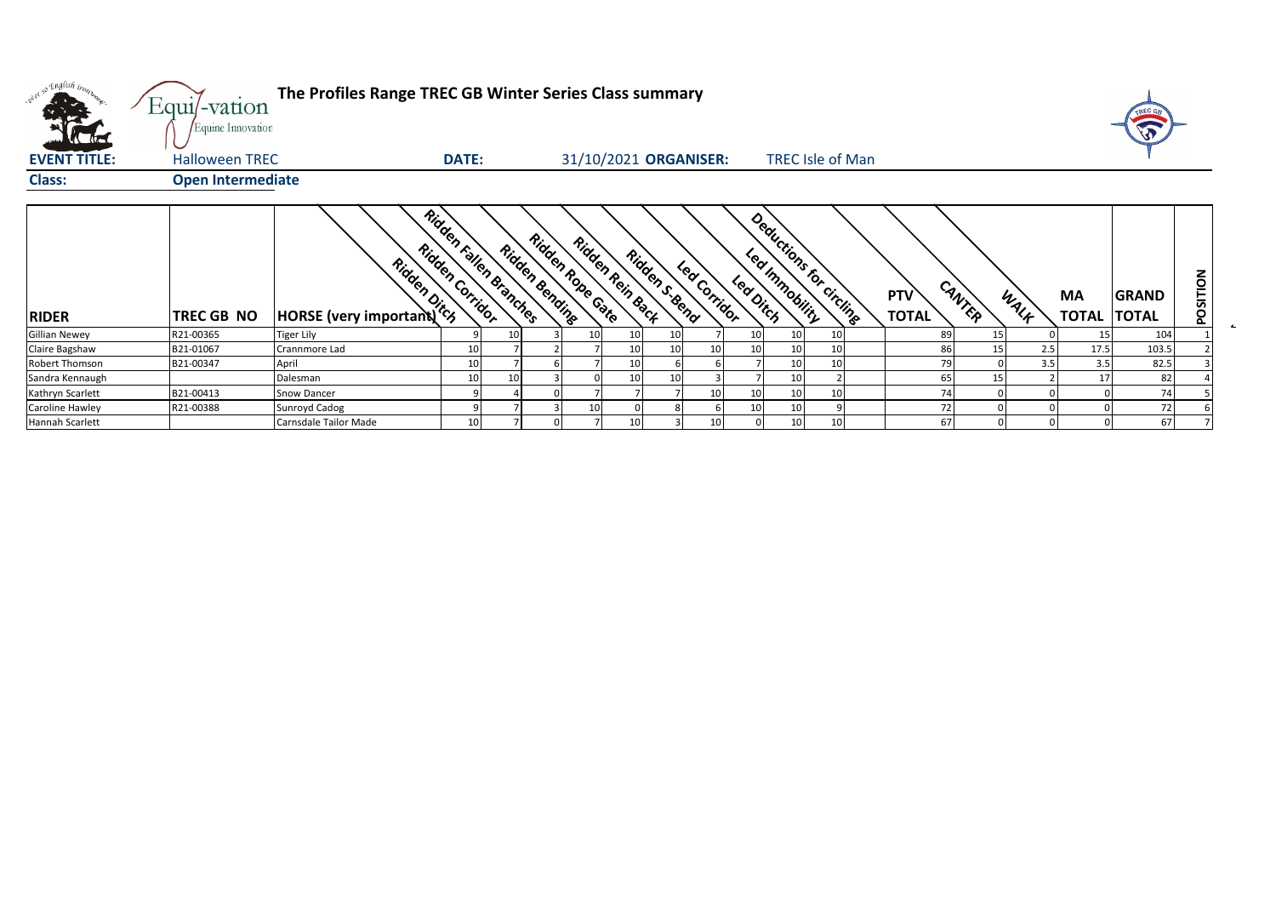| ol so English bonne    | Equi/-vation<br>Equine Innovation | The Profiles Range TREC GB Winter Series Class summary                                                                                                                                                                        |                 |                        |                                    |                       |                |              |          |                |                         |                            |        |      |                           | <b>ATREC GA</b><br>G         |          |
|------------------------|-----------------------------------|-------------------------------------------------------------------------------------------------------------------------------------------------------------------------------------------------------------------------------|-----------------|------------------------|------------------------------------|-----------------------|----------------|--------------|----------|----------------|-------------------------|----------------------------|--------|------|---------------------------|------------------------------|----------|
| <b>EVENT TITLE:</b>    | <b>Halloween TREC</b>             |                                                                                                                                                                                                                               | <b>DATE:</b>    |                        |                                    | 31/10/2021 ORGANISER: |                |              |          |                | <b>TREC Isle of Man</b> |                            |        |      |                           |                              |          |
| <b>Class:</b>          | <b>Open Intermediate</b>          |                                                                                                                                                                                                                               |                 |                        |                                    |                       |                |              |          |                |                         |                            |        |      |                           |                              |          |
| <b>RIDER</b>           | TREC GB NO                        | Rigger Miller Control Control Control Control Control Control Control Control Control Control Control Control Control Control Control Control Control Control Control Control Control Control Control Control Control Control | Ridden Corridor | Ridden Fallen Branches | Ridden Robe Cate<br>Ridden Bending | Ridden Rein Back      | Ridden s. Bend | Lea Corridor | Leadinch | Led Innobility | Deductions for circling | <b>PTV</b><br><b>TOTAL</b> | CANTER | WALK | <b>MA</b><br><b>TOTAL</b> | <b>GRAND</b><br><b>TOTAL</b> | POSITION |
| <b>Gillian Newey</b>   | R21-00365                         | <b>Tiger Lily</b>                                                                                                                                                                                                             |                 |                        | 10 <sub>1</sub>                    | 10                    | 10             |              |          | 10             | 10 <sup>1</sup>         |                            |        |      |                           | 104                          |          |
| Claire Bagshaw         | B21-01067                         | Crannmore Lad                                                                                                                                                                                                                 | 10              |                        |                                    | 10                    | 10             |              |          | 10             | 10                      | 86                         |        | 2.5  | 17.5                      | 103.5                        |          |
| Robert Thomson         | B21-00347                         | April                                                                                                                                                                                                                         | 10              |                        |                                    | 10                    |                |              |          | 10             | 10 <sup>1</sup>         | 79                         |        | 3.5  | 3.5                       | 82.5                         |          |
| Sandra Kennaugh        |                                   | Dalesman                                                                                                                                                                                                                      | 10              |                        |                                    | 10                    | 10             |              |          | 10             |                         | 65                         |        |      | 17                        | 82                           |          |
| Kathryn Scarlett       | B21-00413                         | <b>Snow Dancer</b>                                                                                                                                                                                                            |                 |                        |                                    |                       |                |              |          | 10             | 10 <sup>1</sup>         | 74                         |        |      |                           | 74                           |          |
| <b>Caroline Hawley</b> | R21-00388                         | Sunroyd Cadog                                                                                                                                                                                                                 |                 |                        | 10                                 |                       |                |              |          | 10             |                         | 72                         |        |      |                           | 72                           |          |
| Hannah Scarlett        |                                   | Carnsdale Tailor Made                                                                                                                                                                                                         | 10              |                        |                                    | 10                    |                |              |          | 10             | 10                      | 67                         |        |      |                           | 67                           |          |

 $\sim$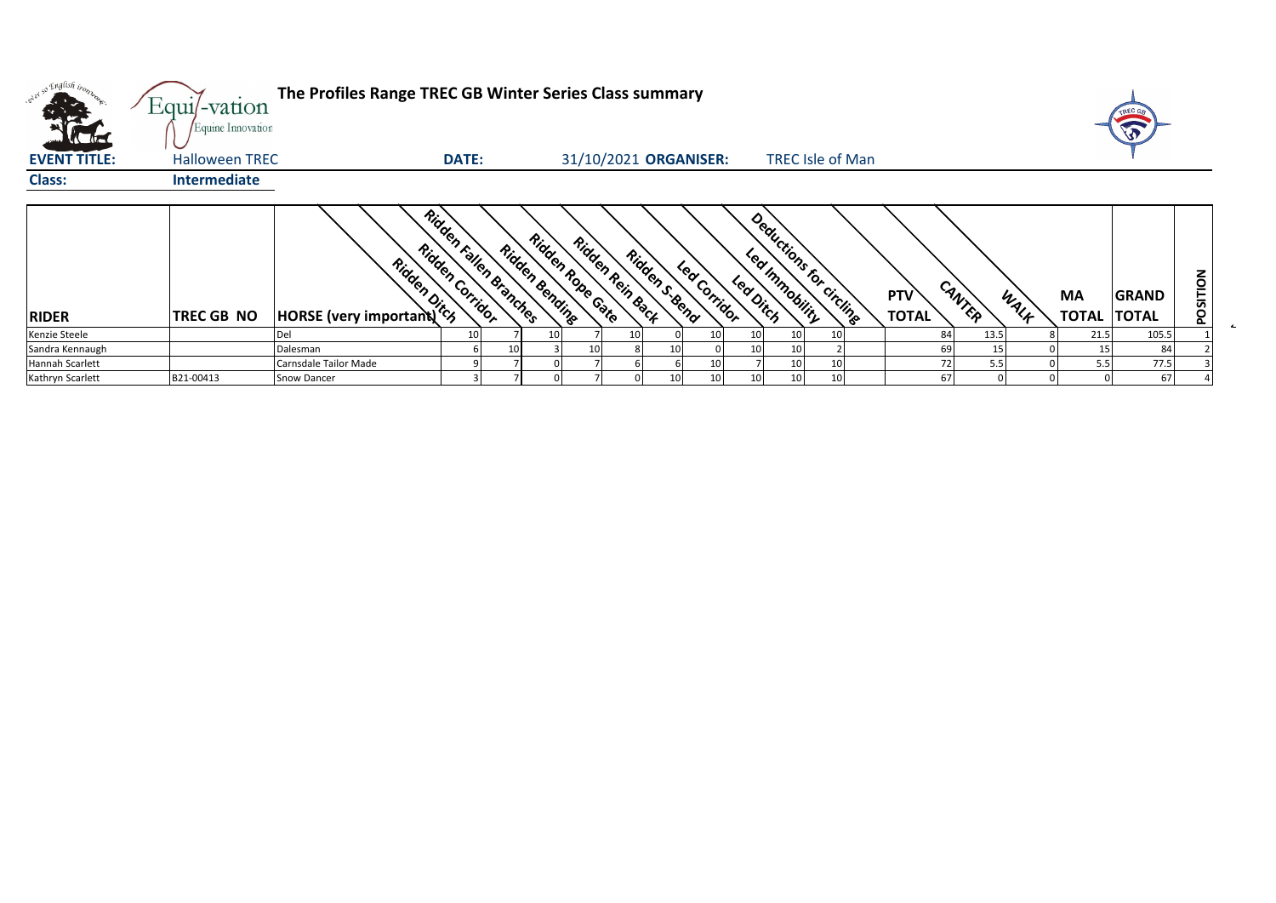| where English trong<br>$\sqrt{1-\ln n}$ | Equi/-vation<br>Equine Innovation | The Profiles Range TREC GB Winter Series Class summary |                 |                        |                                    |                       |                 |              |          |                                           |  |                     |        |      |                           |                              |          |
|-----------------------------------------|-----------------------------------|--------------------------------------------------------|-----------------|------------------------|------------------------------------|-----------------------|-----------------|--------------|----------|-------------------------------------------|--|---------------------|--------|------|---------------------------|------------------------------|----------|
| <b>EVENT TITLE:</b>                     | <b>Halloween TREC</b>             |                                                        | <b>DATE:</b>    |                        |                                    | 31/10/2021 ORGANISER: |                 |              |          | <b>TREC Isle of Man</b>                   |  |                     |        |      |                           |                              |          |
| <b>Class:</b>                           | Intermediate                      |                                                        |                 |                        |                                    |                       |                 |              |          |                                           |  |                     |        |      |                           |                              |          |
| <b>RIDER</b>                            | <b>TREC GB NO</b>                 | Ridge department                                       | Ridden Corridor | Ridden Fallen Branches | Ridden Robe Cate<br>Ridden Bending | Ridden Rein Back      | Ridden s dend   | Led Corridor | Leadinch | Deductions for circling<br>Led Immobility |  | PTV<br><b>TOTAL</b> | CANTER | WALF | <b>MA</b><br><b>TOTAL</b> | <b>GRAND</b><br><b>TOTAL</b> | POSITION |
| Kenzie Steele                           |                                   | Del                                                    | 10              |                        |                                    | 10                    |                 |              | 10       | 10                                        |  | 84                  | 13.5   |      | 21.5                      | 105.5                        |          |
| Sandra Kennaugh                         |                                   | Dalesman                                               |                 |                        |                                    |                       | 10              |              | 10       |                                           |  | 69                  |        |      |                           | 84                           |          |
| Hannah Scarlett                         |                                   | Carnsdale Tailor Made                                  |                 |                        |                                    |                       |                 |              |          | 10                                        |  |                     | 5.5    |      | 5.5                       | 77.5                         |          |
| Kathryn Scarlett                        | B21-00413                         | Snow Dancer                                            |                 |                        |                                    |                       | 10 <sup>1</sup> |              | 10       | 10                                        |  | 67                  |        |      |                           | 67                           |          |

 $\sim$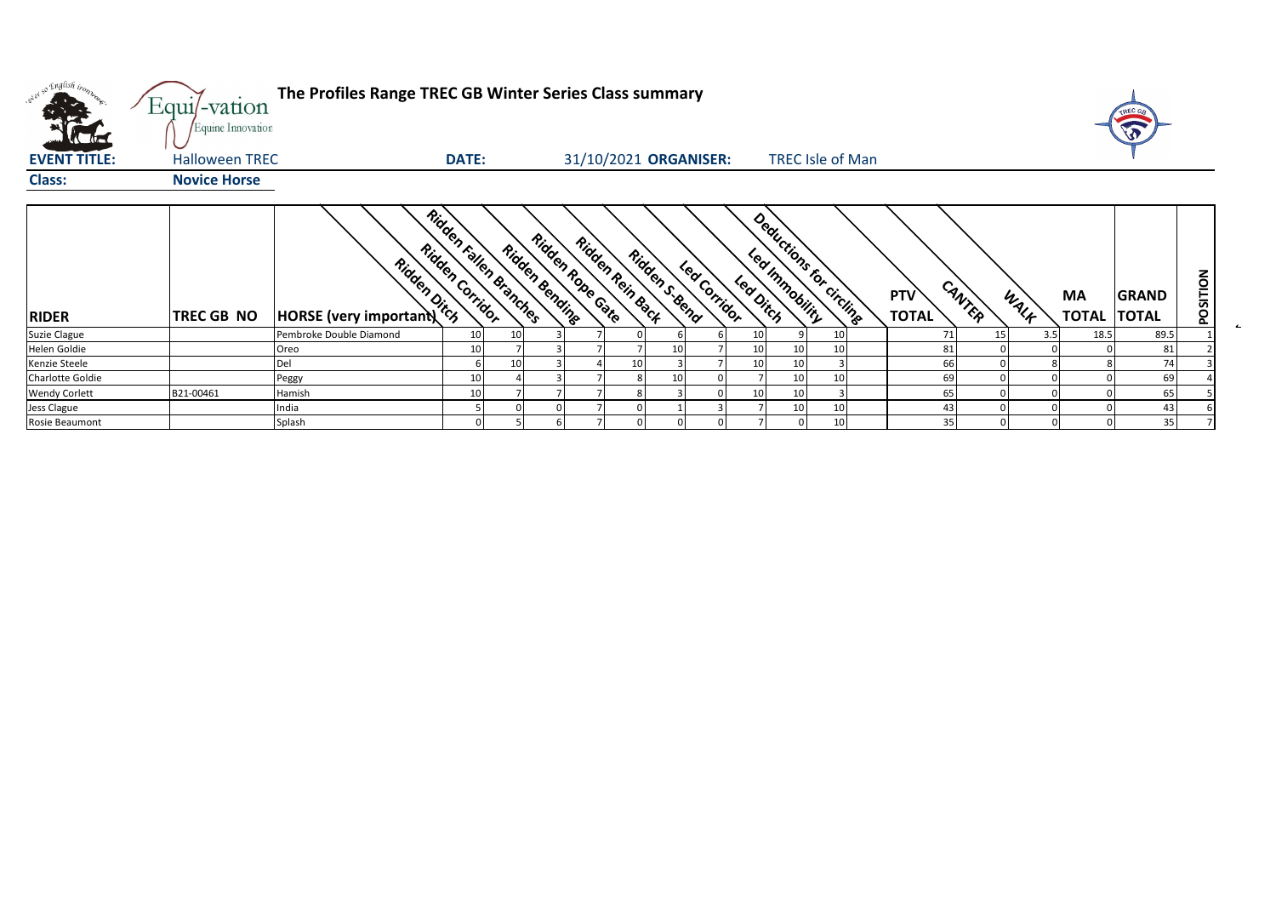| what so English trong | Equi/-vation<br>Equine Innovation | The Profiles Range TREC GB Winter Series Class summary |                                           |                                    |                  |                                |                            |                         |                                      |                                         | TREC GA |          |
|-----------------------|-----------------------------------|--------------------------------------------------------|-------------------------------------------|------------------------------------|------------------|--------------------------------|----------------------------|-------------------------|--------------------------------------|-----------------------------------------|---------|----------|
| <b>EVENT TITLE:</b>   | <b>Halloween TREC</b>             |                                                        | <b>DATE:</b>                              |                                    |                  | 31/10/2021 ORGANISER:          |                            | <b>TREC Isle of Man</b> |                                      |                                         |         |          |
| <b>Class:</b>         | <b>Novice Horse</b>               |                                                        |                                           |                                    |                  |                                |                            |                         |                                      |                                         |         |          |
| <b>RIDER</b>          | TREC GB NO                        | <b>Rigginal Rigginal Property</b>                      | Ridden Fallen Branches<br>Ridden Corridor | Ridden Robe Cate<br>Ridden Bending | Ridden Rein Back | Ridden s. Send<br>Led Corridor | Led Innobility<br>Leadinch | Deductions for circling | CANTER<br><b>PTV</b><br><b>TOTAL</b> | <b>MA</b><br>WALK<br><b>TOTAL TOTAL</b> | GRAND   | POSITION |
| Suzie Clague          |                                   | Pembroke Double Diamond                                |                                           | 10                                 |                  |                                | 10                         |                         | 71<br>15                             | 18.5<br>3.5                             | 89.5    |          |
| Helen Goldie          |                                   | Oreo                                                   | 10                                        |                                    |                  |                                | 10<br>10                   |                         | 81                                   |                                         | 81      |          |
| Kenzie Steele         |                                   | Del                                                    |                                           | 1(                                 | 10               |                                | 10<br>10                   |                         | 66                                   |                                         | 74      |          |
| Charlotte Goldie      |                                   | Peggy                                                  |                                           |                                    |                  | 10                             | 10                         |                         | 69                                   |                                         | 69      |          |
| <b>Wendy Corlett</b>  | B21-00461                         | Hamish                                                 |                                           |                                    |                  |                                | 10 <sup>1</sup><br>10      |                         | 65                                   |                                         | 65      |          |
| Jess Clague           |                                   | India                                                  |                                           |                                    |                  |                                | 10                         |                         | 43                                   |                                         | 43      |          |
| Rosie Beaumont        |                                   | Splash                                                 |                                           |                                    |                  |                                |                            |                         | 35                                   |                                         | 35      |          |

 $\mathbf{z}_i$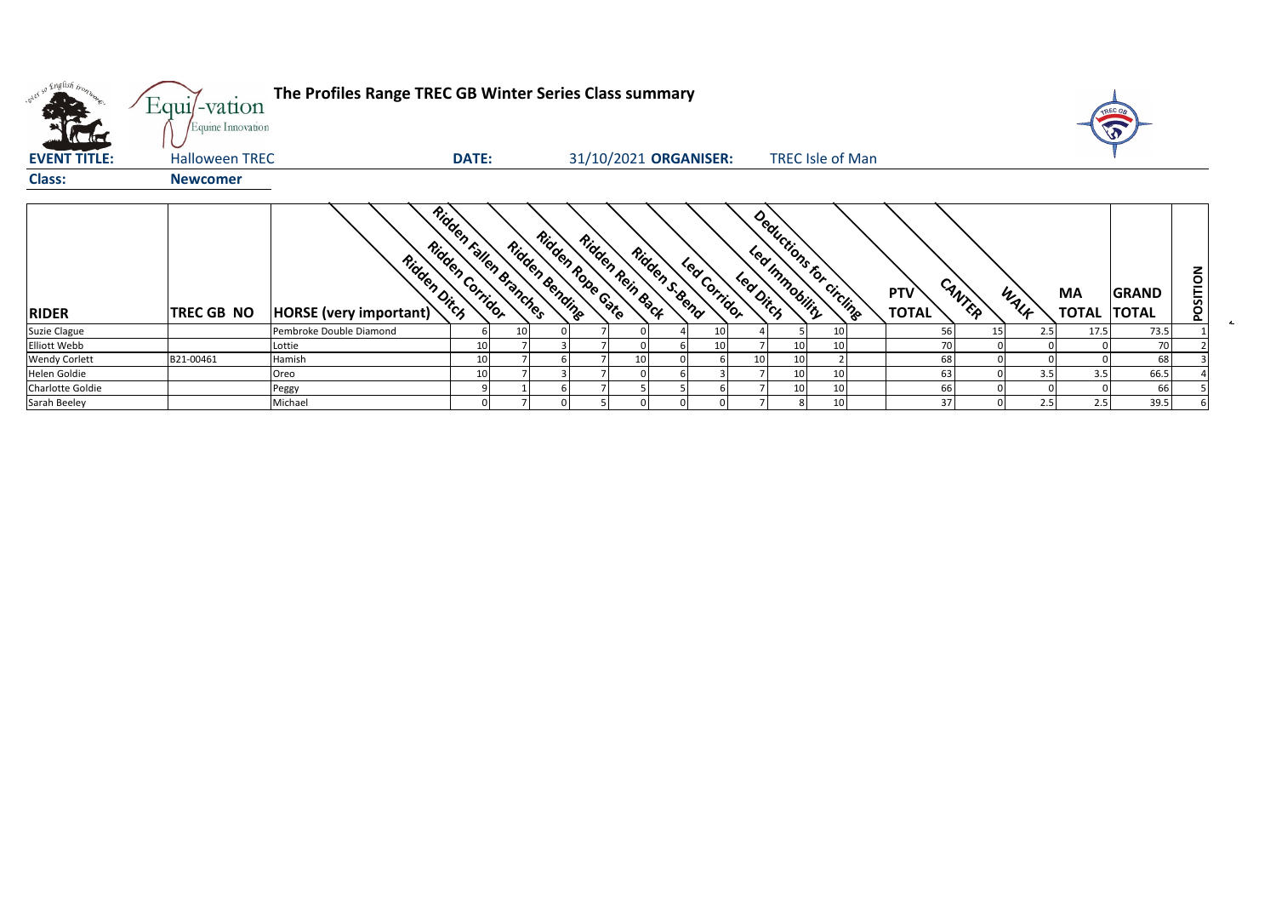| n Englis <i>h iron</i> n<br>A PO | Equi/-vation<br>Equine Innovation | The Profiles Range TREC GB Winter Series Class summary |                 |                        |                       |                                      |    |                |                       |         |                                            |  |                     |        |                        |                    |                              |          |
|----------------------------------|-----------------------------------|--------------------------------------------------------|-----------------|------------------------|-----------------------|--------------------------------------|----|----------------|-----------------------|---------|--------------------------------------------|--|---------------------|--------|------------------------|--------------------|------------------------------|----------|
| <b>EVENT TITLE:</b>              | <b>Halloween TREC</b>             |                                                        | <b>DATE:</b>    |                        |                       |                                      |    |                | 31/10/2021 ORGANISER: |         | <b>TREC Isle of Man</b>                    |  |                     |        |                        |                    |                              |          |
| <b>Class:</b>                    | <b>Newcomer</b>                   |                                                        |                 |                        |                       |                                      |    |                |                       |         |                                            |  |                     |        |                        |                    |                              |          |
| <b>RIDER</b>                     | TREC GB NO                        | Ridden Dirch<br>HORSE (very important)                 | Ridden Carridor | Ridden Fallen Branches | <b>Ridden Bending</b> | Ridden Robe Cate<br>Ridden Rein Back |    | Ridden s. Send | Led Corridor          | Leading | Deductions for circling<br>Led Innnobility |  | PTV<br><b>TOTAL</b> | CANTER | WALK                   | MA<br><b>TOTAL</b> | <b>GRAND</b><br><b>TOTAL</b> | POSITION |
| Suzie Clague                     |                                   | Pembroke Double Diamond                                |                 | 10                     |                       |                                      |    |                | 10                    |         |                                            |  |                     | 56     | 15 <sup>1</sup><br>2.5 | 17.5               | 73.5                         |          |
| <b>Elliott Webb</b>              |                                   | Lottie                                                 | 10              |                        |                       |                                      |    |                | 10                    |         | 10                                         |  |                     | 70     |                        |                    | 70                           |          |
| <b>Wendy Corlett</b>             | B21-00461                         | Hamish                                                 | 10              |                        |                       |                                      | 10 |                |                       | 10      | 10                                         |  |                     | 68     |                        |                    | 68                           |          |
| <b>Helen Goldie</b>              |                                   | Oreo                                                   | 10              |                        |                       |                                      |    |                |                       |         | 10                                         |  |                     | 63     | 3.5                    | 3.5                | 66.5                         |          |
| <b>Charlotte Goldie</b>          |                                   | Peggy                                                  |                 |                        |                       |                                      |    |                |                       |         | 10                                         |  |                     | 66     |                        |                    | 66                           |          |
| Sarah Beeley                     |                                   | Michael                                                |                 |                        |                       |                                      |    |                |                       |         |                                            |  |                     | 37     | 2.5                    | 2.5                | 39.5                         |          |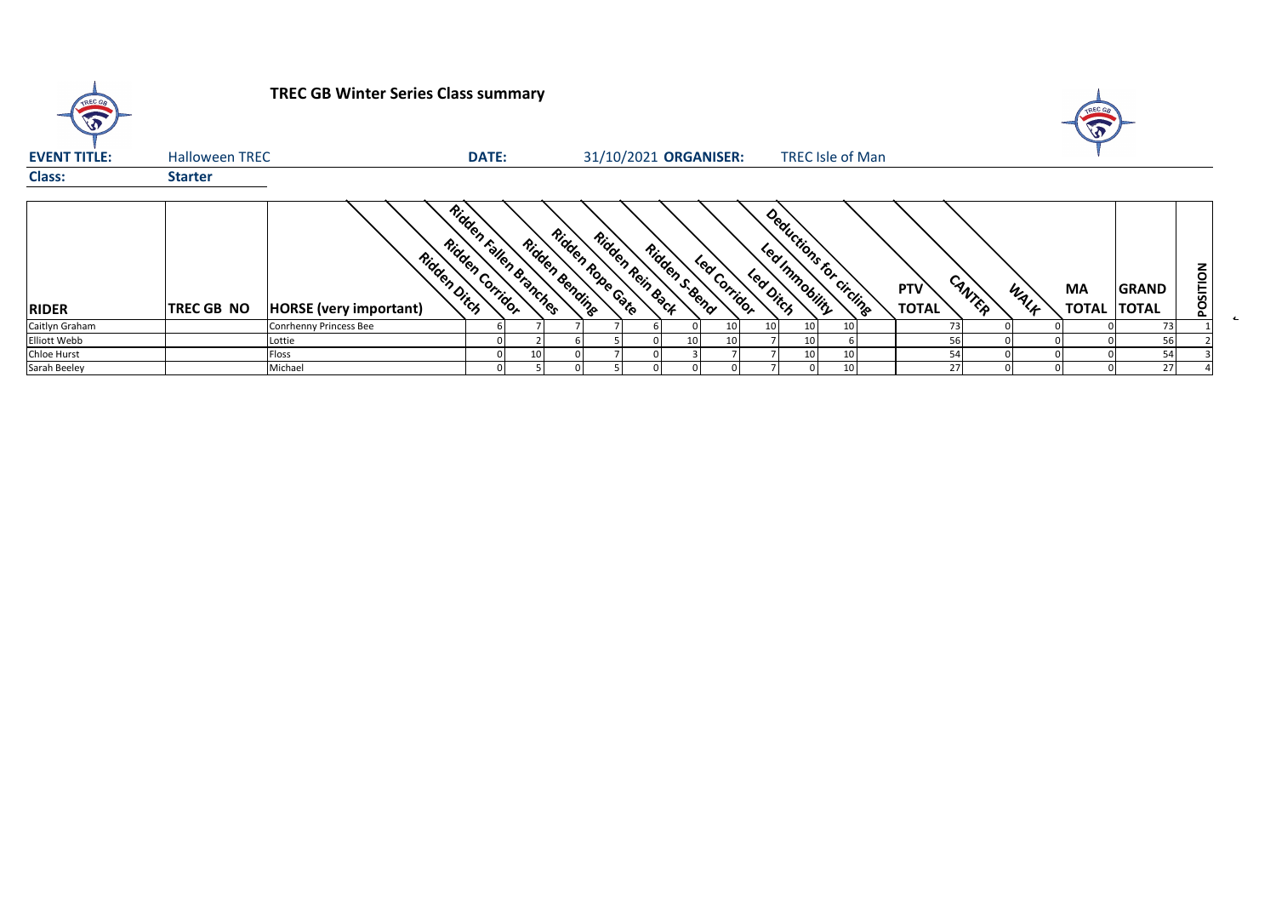| TREC GB             |                       | <b>TREC GB Winter Series Class summary</b>   |                                           |                                           |                                    |              |                                                        |                         |                                      |      | <b>TREC GA</b><br><b>B</b> |                              |          |
|---------------------|-----------------------|----------------------------------------------|-------------------------------------------|-------------------------------------------|------------------------------------|--------------|--------------------------------------------------------|-------------------------|--------------------------------------|------|----------------------------|------------------------------|----------|
| <b>EVENT TITLE:</b> | <b>Halloween TREC</b> |                                              | <b>DATE:</b>                              |                                           | 31/10/2021 ORGANISER:              |              |                                                        | <b>TREC Isle of Man</b> |                                      |      |                            |                              |          |
| <b>Class:</b>       | <b>Starter</b>        |                                              |                                           |                                           |                                    |              |                                                        |                         |                                      |      |                            |                              |          |
| <b>RIDER</b>        | <b>TREC GB NO</b>     | Ridden Dich<br><b>HORSE</b> (very important) | Ridgen Fallen Branches<br>Ridden Carridor | Ridden Robe Cate<br><b>Ridden Bending</b> | Ridden Rein Back<br>Ridden s. Send | Led Corridor | Deductions for circling<br>Led Immobility<br>Led Ditch |                         | CANTER<br><b>PTV</b><br><b>TOTAL</b> | WALF | ΜA<br><b>TOTAL</b>         | <b>GRAND</b><br><b>TOTAL</b> | POSITION |
| Caitlyn Graham      |                       | Conrhenny Princess Bee                       |                                           |                                           |                                    |              |                                                        | 10 <sup>1</sup>         | 73                                   |      |                            | 73                           |          |
| Elliott Webb        |                       | Lottie                                       |                                           |                                           | 10 <sub>1</sub>                    |              | 10                                                     |                         | 56                                   |      |                            |                              |          |
| Chloe Hurst         |                       | Floss                                        |                                           |                                           |                                    |              | 10                                                     | 10 <sup>1</sup>         | 54                                   |      |                            | 54                           |          |
| Sarah Beeley        |                       | Michael                                      |                                           |                                           |                                    |              |                                                        | 10                      | 27                                   |      |                            | 27                           |          |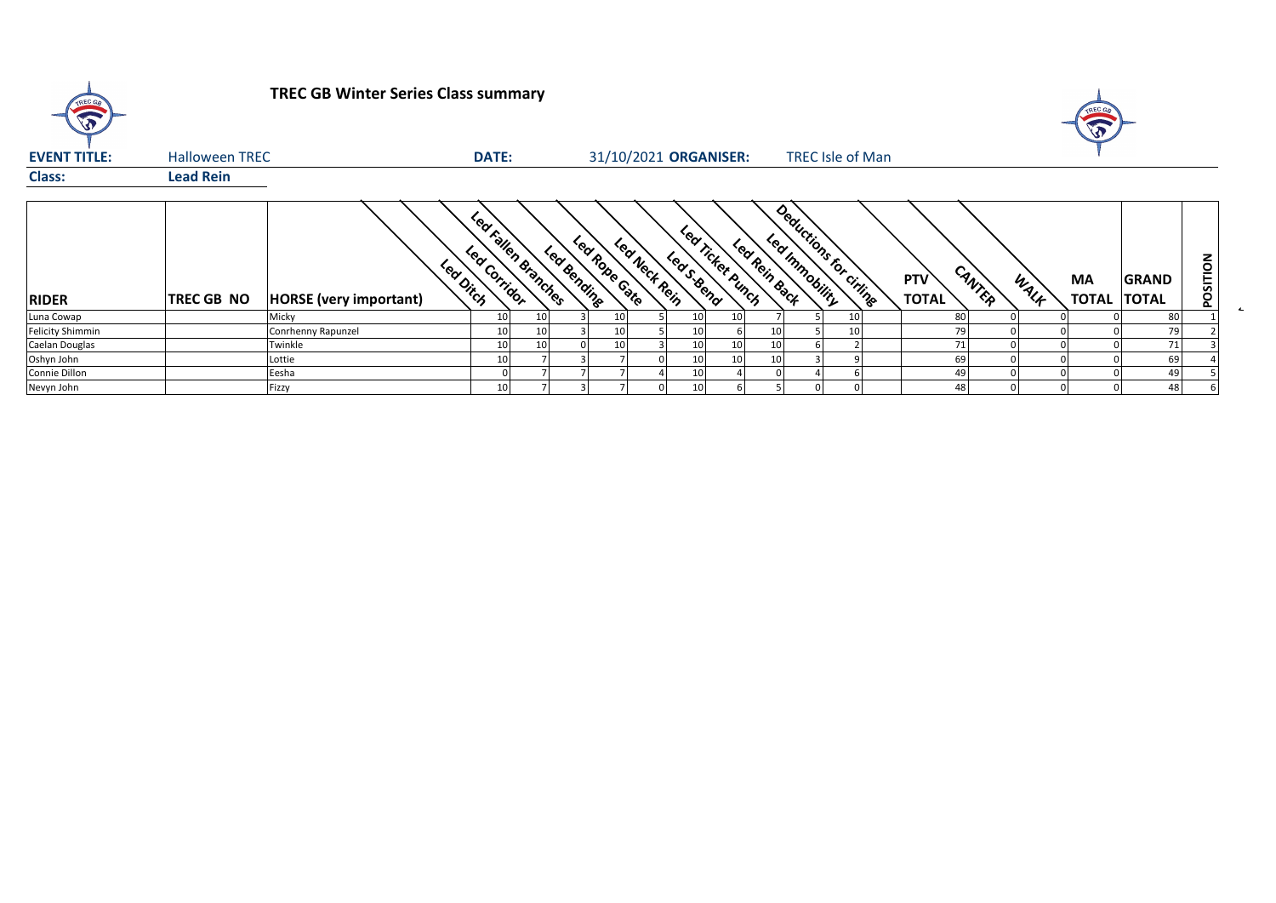| <b>A</b>                |                       | <b>TREC GB Winter Series Class summary</b> |              |                     |             |               |                       |              |                                 |               |                                         |  |                            |        |      |                    |                              |          |
|-------------------------|-----------------------|--------------------------------------------|--------------|---------------------|-------------|---------------|-----------------------|--------------|---------------------------------|---------------|-----------------------------------------|--|----------------------------|--------|------|--------------------|------------------------------|----------|
| <b>EVENT TITLE:</b>     | <b>Halloween TREC</b> |                                            | <b>DATE:</b> |                     |             |               | 31/10/2021 ORGANISER: |              |                                 |               | <b>TREC Isle of Man</b>                 |  |                            |        |      |                    |                              |          |
| <b>Class:</b>           | <b>Lead Rein</b>      |                                            |              |                     |             |               |                       |              |                                 |               |                                         |  |                            |        |      |                    |                              |          |
| <b>RIDER</b>            | <b>TREC GB NO</b>     | Lea Ditch<br><b>HORSE</b> (very important) | Led Corridor | Led Fallen Branches | Led Bending | Led Robe Cate | Lea Nect Rein         |              | Lea Ticket Punch<br>Led S. Bend | Led Rein Back | Deductions for citing<br>Led Innobility |  | <b>PTV</b><br><b>TOTAL</b> | CANTER | WALF | MA<br><b>TOTAL</b> | <b>GRAND</b><br><b>TOTAL</b> | POSITION |
| Luna Cowap              |                       | Micky                                      | 10           | 10 <sub>l</sub>     |             | 10            |                       | 10           | 10                              |               |                                         |  | 80                         |        |      |                    | 80                           |          |
| <b>Felicity Shimmin</b> |                       | Conrhenny Rapunzel                         | 10           | 10                  |             | 10            |                       | 10           |                                 | 10            |                                         |  | 79                         |        |      |                    | 79                           |          |
| Caelan Douglas          |                       | Twinkle                                    |              | 10                  |             | 10            |                       |              | 10                              | 10            |                                         |  | 71                         |        |      |                    | 71                           |          |
| Oshyn John              |                       | Lottie                                     |              |                     |             |               |                       | $\mathbf{1}$ | 10                              | 10            |                                         |  | 69                         |        |      |                    | 69                           |          |
| Connie Dillon           |                       | Eesha                                      |              |                     |             |               |                       | 10           |                                 |               |                                         |  | 49                         |        |      |                    | 49                           |          |
| Nevyn John              |                       | Fizzy                                      |              |                     |             |               |                       |              |                                 |               |                                         |  |                            | 48     |      |                    | 48                           |          |

 $\overline{1}$